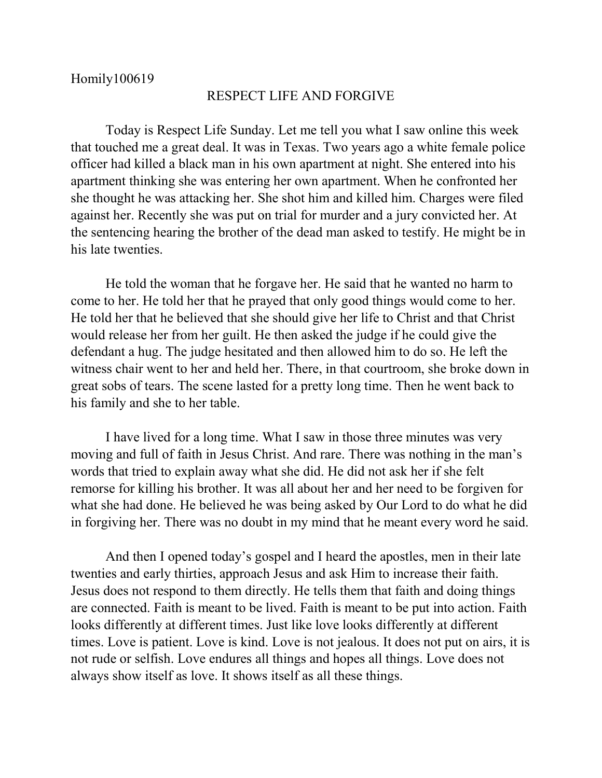## RESPECT LIFE AND FORGIVE

Today is Respect Life Sunday. Let me tell you what I saw online this week that touched me a great deal. It was in Texas. Two years ago a white female police officer had killed a black man in his own apartment at night. She entered into his apartment thinking she was entering her own apartment. When he confronted her she thought he was attacking her. She shot him and killed him. Charges were filed against her. Recently she was put on trial for murder and a jury convicted her. At the sentencing hearing the brother of the dead man asked to testify. He might be in his late twenties.

He told the woman that he forgave her. He said that he wanted no harm to come to her. He told her that he prayed that only good things would come to her. He told her that he believed that she should give her life to Christ and that Christ would release her from her guilt. He then asked the judge if he could give the defendant a hug. The judge hesitated and then allowed him to do so. He left the witness chair went to her and held her. There, in that courtroom, she broke down in great sobs of tears. The scene lasted for a pretty long time. Then he went back to his family and she to her table.

I have lived for a long time. What I saw in those three minutes was very moving and full of faith in Jesus Christ. And rare. There was nothing in the man's words that tried to explain away what she did. He did not ask her if she felt remorse for killing his brother. It was all about her and her need to be forgiven for what she had done. He believed he was being asked by Our Lord to do what he did in forgiving her. There was no doubt in my mind that he meant every word he said.

And then I opened today's gospel and I heard the apostles, men in their late twenties and early thirties, approach Jesus and ask Him to increase their faith. Jesus does not respond to them directly. He tells them that faith and doing things are connected. Faith is meant to be lived. Faith is meant to be put into action. Faith looks differently at different times. Just like love looks differently at different times. Love is patient. Love is kind. Love is not jealous. It does not put on airs, it is not rude or selfish. Love endures all things and hopes all things. Love does not always show itself as love. It shows itself as all these things.